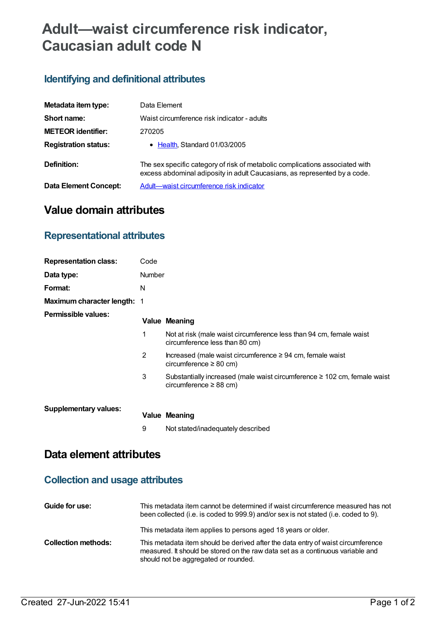# **Adult—waist circumference risk indicator, Caucasian adult code N**

## **Identifying and definitional attributes**

| Metadata item type:         | Data Element                                                                                                                                              |
|-----------------------------|-----------------------------------------------------------------------------------------------------------------------------------------------------------|
| Short name:                 | Waist circumference risk indicator - adults                                                                                                               |
| <b>METEOR identifier:</b>   | 270205                                                                                                                                                    |
| <b>Registration status:</b> | • Health, Standard 01/03/2005                                                                                                                             |
| Definition:                 | The sex specific category of risk of metabolic complications associated with<br>excess abdominal adiposity in adult Caucasians, as represented by a code. |
| Data Element Concept:       | Adult-waist circumference risk indicator                                                                                                                  |

# **Value domain attributes**

### **Representational attributes**

| <b>Representation class:</b>       | Code          |                                                                                                              |
|------------------------------------|---------------|--------------------------------------------------------------------------------------------------------------|
| Data type:                         | <b>Number</b> |                                                                                                              |
| Format:                            | N             |                                                                                                              |
| <b>Maximum character length: 1</b> |               |                                                                                                              |
| Permissible values:                |               | <b>Value Meaning</b>                                                                                         |
|                                    | 1             | Not at risk (male waist circumference less than 94 cm, female waist<br>circumference less than 80 cm)        |
|                                    | 2             | Increased (male waist circumference $\geq$ 94 cm, female waist<br>circumference $\geq 80$ cm)                |
|                                    | 3             | Substantially increased (male waist circumference $\geq 102$ cm, female waist<br>circumference $\geq$ 88 cm) |
| <b>Supplementary values:</b>       |               | <b>Value Meaning</b>                                                                                         |
|                                    | 9             | Not stated/inadequately described                                                                            |

# **Data element attributes**

## **Collection and usage attributes**

| Guide for use:             | This metadata item cannot be determined if waist circumference measured has not<br>been collected (i.e. is coded to 999.9) and/or sex is not stated (i.e. coded to 9).                                                                                                      |
|----------------------------|-----------------------------------------------------------------------------------------------------------------------------------------------------------------------------------------------------------------------------------------------------------------------------|
| <b>Collection methods:</b> | This metadata item applies to persons aged 18 years or older.<br>This metadata item should be derived after the data entry of waist circumference<br>measured. It should be stored on the raw data set as a continuous variable and<br>should not be aggregated or rounded. |